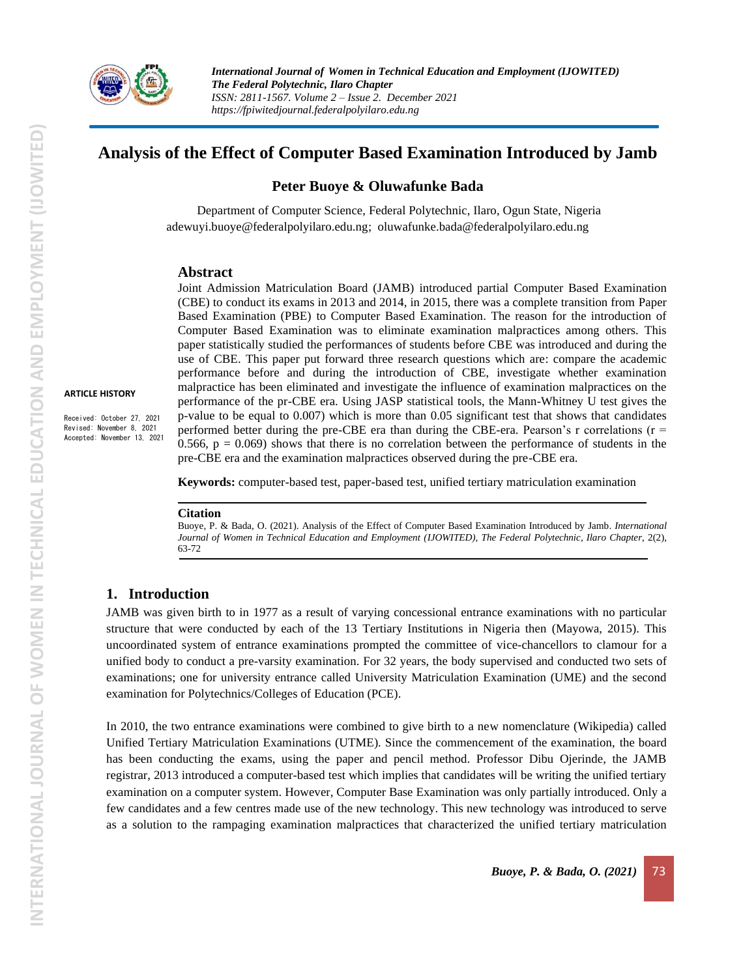

*International Journal of Women in Technical Education and Employment (IJOWITED) The Federal Polytechnic, Ilaro Chapter ISSN: 2811-1567. Volume 2 – Issue 2. December 2021 https://fpiwitedjournal.federalpolyilaro.edu.ng*

# **Analysis of the Effect of Computer Based Examination Introduced by Jamb**

### **Peter Buoye & Oluwafunke Bada**

 Department of Computer Science, Federal Polytechnic, Ilaro, Ogun State, Nigeria [adewuyi.buoye@federalpolyilaro.edu.ng;](mailto:adewuyi.buoye@federalpolyilaro.edu.ng) [oluwafunke.bada@federalpolyilaro.edu.ng](mailto:oluwafunke.bada@federalpolyilaro.edu.ng)

#### **Abstract**

Joint Admission Matriculation Board (JAMB) introduced partial Computer Based Examination (CBE) to conduct its exams in 2013 and 2014, in 2015, there was a complete transition from Paper Based Examination (PBE) to Computer Based Examination. The reason for the introduction of Computer Based Examination was to eliminate examination malpractices among others. This paper statistically studied the performances of students before CBE was introduced and during the use of CBE. This paper put forward three research questions which are: compare the academic performance before and during the introduction of CBE, investigate whether examination malpractice has been eliminated and investigate the influence of examination malpractices on the performance of the pr-CBE era. Using JASP statistical tools, the Mann-Whitney U test gives the p-value to be equal to 0.007) which is more than 0.05 significant test that shows that candidates performed better during the pre-CBE era than during the CBE-era. Pearson's r correlations ( $r =$ 0.566,  $p = 0.069$ ) shows that there is no correlation between the performance of students in the pre-CBE era and the examination malpractices observed during the pre-CBE era.

**Keywords:** computer-based test, paper-based test, unified tertiary matriculation examination

#### **Citation**

Buoye, P. & Bada, O. (2021). Analysis of the Effect of Computer Based Examination Introduced by Jamb. *International* Journal of Women in Technical Education and Employment (IJOWITED), The Federal Polytechnic, Ilaro Chapter, 2(2), 63-72

### **1. Introduction**

JAMB was given birth to in 1977 as a result of varying concessional entrance examinations with no particular structure that were conducted by each of the 13 Tertiary Institutions in Nigeria then (Mayowa, 2015). This uncoordinated system of entrance examinations prompted the committee of vice-chancellors to clamour for a unified body to conduct a pre-varsity examination. For 32 years, the body supervised and conducted two sets of examinations; one for university entrance called University Matriculation Examination (UME) and the second examination for Polytechnics/Colleges of Education (PCE).

In 2010, the two entrance examinations were combined to give birth to a new nomenclature (Wikipedia) called Unified Tertiary Matriculation Examinations (UTME). Since the commencement of the examination, the board has been conducting the exams, using the paper and pencil method. Professor Dibu Ojerinde, the JAMB registrar, 2013 introduced a computer-based test which implies that candidates will be writing the unified tertiary examination on a computer system. However, Computer Base Examination was only partially introduced. Only a few candidates and a few centres made use of the new technology. This new technology was introduced to serve as a solution to the rampaging examination malpractices that characterized the unified tertiary matriculation

**ARTICLE HISTORY**

Received: October 27, 2021 Revised: November 8, 2021 Accepted: November 13, 2021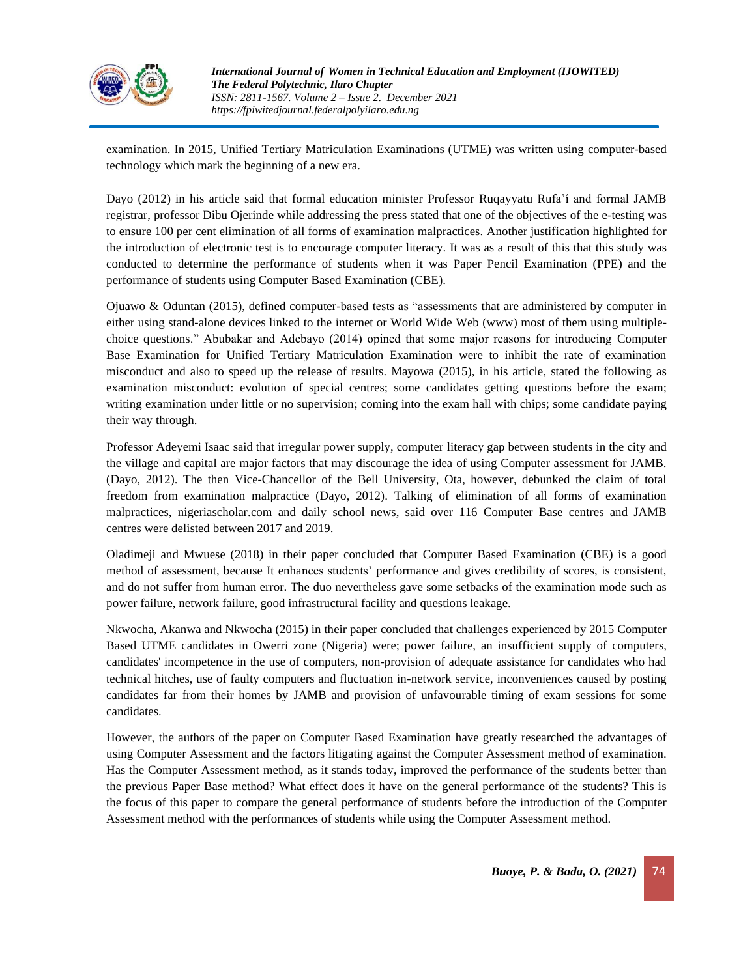

examination. In 2015, Unified Tertiary Matriculation Examinations (UTME) was written using computer-based technology which mark the beginning of a new era.

Dayo (2012) in his article said that formal education minister Professor Ruqayyatu Rufa'í and formal JAMB registrar, professor Dibu Ojerinde while addressing the press stated that one of the objectives of the e-testing was to ensure 100 per cent elimination of all forms of examination malpractices. Another justification highlighted for the introduction of electronic test is to encourage computer literacy. It was as a result of this that this study was conducted to determine the performance of students when it was Paper Pencil Examination (PPE) and the performance of students using Computer Based Examination (CBE).

Ojuawo & Oduntan (2015), defined computer-based tests as "assessments that are administered by computer in either using stand-alone devices linked to the internet or World Wide Web (www) most of them using multiplechoice questions." Abubakar and Adebayo (2014) opined that some major reasons for introducing Computer Base Examination for Unified Tertiary Matriculation Examination were to inhibit the rate of examination misconduct and also to speed up the release of results. Mayowa (2015), in his article, stated the following as examination misconduct: evolution of special centres; some candidates getting questions before the exam; writing examination under little or no supervision; coming into the exam hall with chips; some candidate paying their way through.

Professor Adeyemi Isaac said that irregular power supply, computer literacy gap between students in the city and the village and capital are major factors that may discourage the idea of using Computer assessment for JAMB. (Dayo, 2012). The then Vice-Chancellor of the Bell University, Ota, however, debunked the claim of total freedom from examination malpractice (Dayo, 2012). Talking of elimination of all forms of examination malpractices, nigeriascholar.com and daily school news, said over 116 Computer Base centres and JAMB centres were delisted between 2017 and 2019.

Oladimeji and Mwuese (2018) in their paper concluded that Computer Based Examination (CBE) is a good method of assessment, because It enhances students' performance and gives credibility of scores, is consistent, and do not suffer from human error. The duo nevertheless gave some setbacks of the examination mode such as power failure, network failure, good infrastructural facility and questions leakage.

Nkwocha, Akanwa and Nkwocha (2015) in their paper concluded that challenges experienced by 2015 Computer Based UTME candidates in Owerri zone (Nigeria) were; power failure, an insufficient supply of computers, candidates' incompetence in the use of computers, non-provision of adequate assistance for candidates who had technical hitches, use of faulty computers and fluctuation in-network service, inconveniences caused by posting candidates far from their homes by JAMB and provision of unfavourable timing of exam sessions for some candidates.

However, the authors of the paper on Computer Based Examination have greatly researched the advantages of using Computer Assessment and the factors litigating against the Computer Assessment method of examination. Has the Computer Assessment method, as it stands today, improved the performance of the students better than the previous Paper Base method? What effect does it have on the general performance of the students? This is the focus of this paper to compare the general performance of students before the introduction of the Computer Assessment method with the performances of students while using the Computer Assessment method.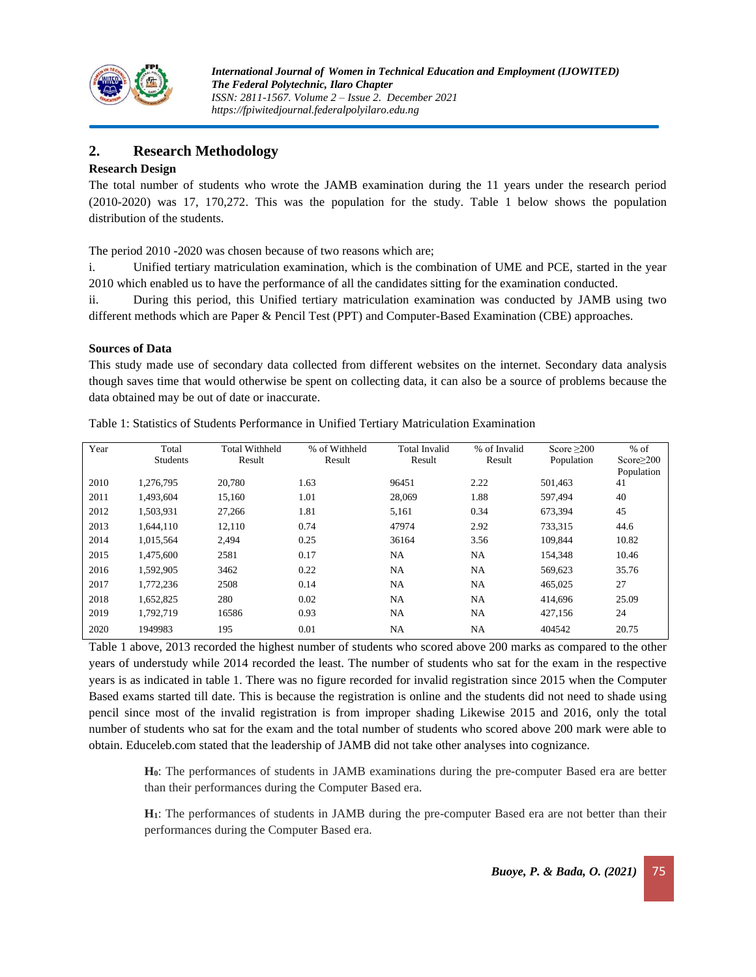

# **2. Research Methodology**

# **Research Design**

The total number of students who wrote the JAMB examination during the 11 years under the research period (2010-2020) was 17, 170,272. This was the population for the study. Table 1 below shows the population distribution of the students.

The period 2010 -2020 was chosen because of two reasons which are;

i. Unified tertiary matriculation examination, which is the combination of UME and PCE, started in the year 2010 which enabled us to have the performance of all the candidates sitting for the examination conducted.

ii. During this period, this Unified tertiary matriculation examination was conducted by JAMB using two different methods which are Paper & Pencil Test (PPT) and Computer-Based Examination (CBE) approaches.

#### **Sources of Data**

This study made use of secondary data collected from different websites on the internet. Secondary data analysis though saves time that would otherwise be spent on collecting data, it can also be a source of problems because the data obtained may be out of date or inaccurate.

| Year | Total           | <b>Total Withheld</b> | % of Withheld | Total Invalid | % of Invalid | Score $\geq$ 200 | $%$ of           |
|------|-----------------|-----------------------|---------------|---------------|--------------|------------------|------------------|
|      | <b>Students</b> | Result                | Result        | Result        | Result       | Population       | Score $\geq$ 200 |
|      |                 |                       |               |               |              |                  | Population       |
| 2010 | 1.276.795       | 20,780                | 1.63          | 96451         | 2.22         | 501,463          | 41               |
| 2011 | 1,493,604       | 15,160                | 1.01          | 28,069        | 1.88         | 597.494          | 40               |
| 2012 | 1,503,931       | 27,266                | 1.81          | 5,161         | 0.34         | 673.394          | 45               |
| 2013 | 1,644,110       | 12,110                | 0.74          | 47974         | 2.92         | 733,315          | 44.6             |
| 2014 | 1.015.564       | 2,494                 | 0.25          | 36164         | 3.56         | 109.844          | 10.82            |
| 2015 | 1.475.600       | 2581                  | 0.17          | <b>NA</b>     | <b>NA</b>    | 154.348          | 10.46            |
| 2016 | 1,592,905       | 3462                  | 0.22          | <b>NA</b>     | <b>NA</b>    | 569,623          | 35.76            |
| 2017 | 1.772.236       | 2508                  | 0.14          | NA.           | <b>NA</b>    | 465,025          | 27               |
| 2018 | 1,652,825       | 280                   | 0.02          | NA            | NA           | 414,696          | 25.09            |
| 2019 | 1.792.719       | 16586                 | 0.93          | NA            | NA           | 427,156          | 24               |
| 2020 | 1949983         | 195                   | 0.01          | NA            | NA           | 404542           | 20.75            |

Table 1: Statistics of Students Performance in Unified Tertiary Matriculation Examination

Table 1 above, 2013 recorded the highest number of students who scored above 200 marks as compared to the other years of understudy while 2014 recorded the least. The number of students who sat for the exam in the respective years is as indicated in table 1. There was no figure recorded for invalid registration since 2015 when the Computer Based exams started till date. This is because the registration is online and the students did not need to shade using pencil since most of the invalid registration is from improper shading Likewise 2015 and 2016, only the total number of students who sat for the exam and the total number of students who scored above 200 mark were able to obtain. Educeleb.com stated that the leadership of JAMB did not take other analyses into cognizance.

**H0**: The performances of students in JAMB examinations during the pre-computer Based era are better than their performances during the Computer Based era.

**H1**: The performances of students in JAMB during the pre-computer Based era are not better than their performances during the Computer Based era.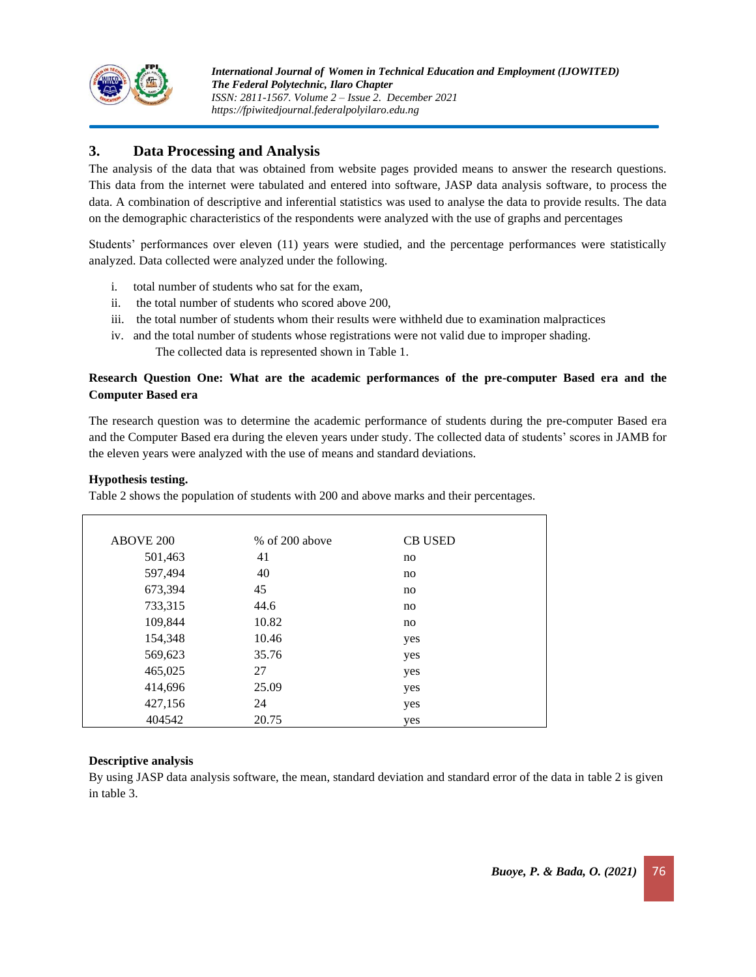

# **3. Data Processing and Analysis**

The analysis of the data that was obtained from website pages provided means to answer the research questions. This data from the internet were tabulated and entered into software, JASP data analysis software, to process the data. A combination of descriptive and inferential statistics was used to analyse the data to provide results. The data on the demographic characteristics of the respondents were analyzed with the use of graphs and percentages

Students' performances over eleven (11) years were studied, and the percentage performances were statistically analyzed. Data collected were analyzed under the following.

- i. total number of students who sat for the exam,
- ii. the total number of students who scored above 200,
- iii. the total number of students whom their results were withheld due to examination malpractices
- iv. and the total number of students whose registrations were not valid due to improper shading. The collected data is represented shown in Table 1.

# **Research Question One: What are the academic performances of the pre-computer Based era and the Computer Based era**

The research question was to determine the academic performance of students during the pre-computer Based era and the Computer Based era during the eleven years under study. The collected data of students' scores in JAMB for the eleven years were analyzed with the use of means and standard deviations.

#### **Hypothesis testing.**

Table 2 shows the population of students with 200 and above marks and their percentages.

| <b>ABOVE 200</b> | $%$ of 200 above | <b>CB USED</b> |  |
|------------------|------------------|----------------|--|
| 501,463          | 41               | no             |  |
| 597,494          | 40               | no             |  |
| 673,394          | 45               | no             |  |
| 733,315          | 44.6             | no             |  |
| 109,844          | 10.82            | no             |  |
| 154,348          | 10.46            | yes            |  |
| 569,623          | 35.76            | yes            |  |
| 465,025          | 27               | yes            |  |
| 414,696          | 25.09            | yes            |  |
| 427,156          | 24               | yes            |  |
| 404542           | 20.75            | yes            |  |

# **Descriptive analysis**

By using JASP data analysis software, the mean, standard deviation and standard error of the data in table 2 is given in table 3.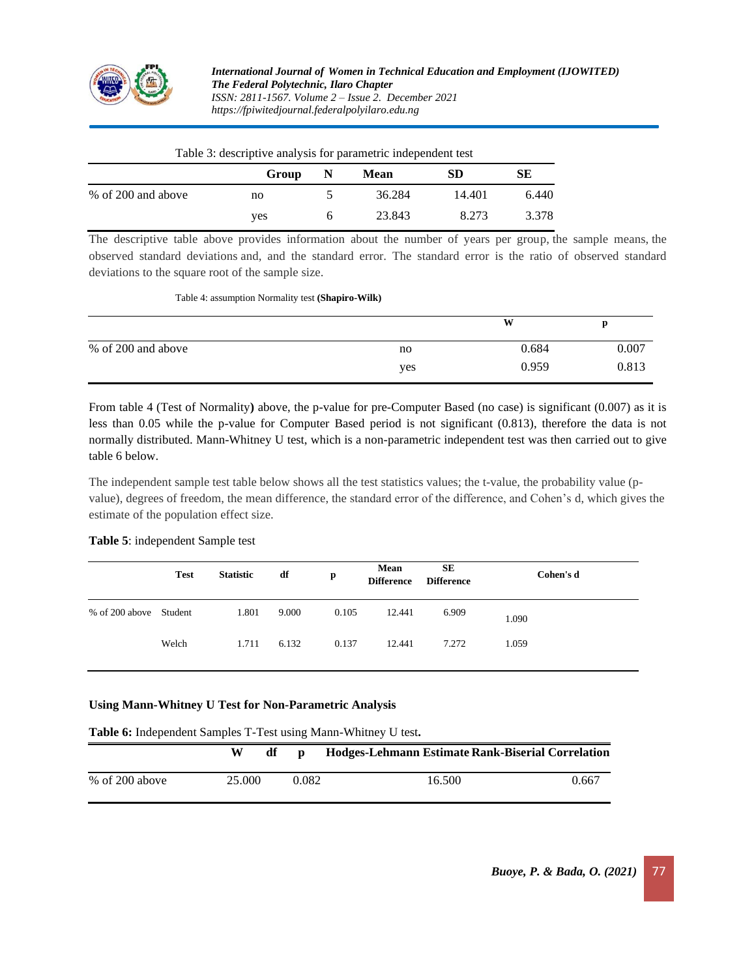

*International Journal of Women in Technical Education and Employment (IJOWITED) The Federal Polytechnic, Ilaro Chapter ISSN: 2811-1567. Volume 2 – Issue 2. December 2021 https://fpiwitedjournal.federalpolyilaro.edu.ng*

| Twere or accelerite and follo for parameters maspements tells |       |              |        |           |       |
|---------------------------------------------------------------|-------|--------------|--------|-----------|-------|
|                                                               | Group | N            | Mean   | <b>SD</b> | SЕ    |
| % of 200 and above                                            | no    |              | 36.284 | 14.401    | 6.440 |
|                                                               | yes   | <sub>6</sub> | 23.843 | 8.273     | 3.378 |

Table 3: descriptive analysis for parametric independent test

The descriptive table above provides information about the number of years per group, the sample means, the observed standard deviations and, and the standard error. The standard error is the ratio of observed standard deviations to the square root of the sample size.

#### Table 4: assumption Normality test **(Shapiro-Wilk)**

|                    |     | W     | D     |
|--------------------|-----|-------|-------|
| % of 200 and above | no  | 0.684 | 0.007 |
|                    | yes | 0.959 | 0.813 |

From table 4 (Test of Normality**)** above, the p-value for pre-Computer Based (no case) is significant (0.007) as it is less than 0.05 while the p-value for Computer Based period is not significant (0.813), therefore the data is not normally distributed. Mann-Whitney U test, which is a non-parametric independent test was then carried out to give table 6 below.

The independent sample test table below shows all the test statistics values; the t-value, the probability value (pvalue), degrees of freedom, the mean difference, the standard error of the difference, and Cohen's d, which gives the estimate of the population effect size.

#### **Table 5**: independent Sample test

|                        | <b>Test</b> | <b>Statistic</b> | df    | p     | Mean<br><b>Difference</b> | SЕ<br><b>Difference</b> | Cohen's d |
|------------------------|-------------|------------------|-------|-------|---------------------------|-------------------------|-----------|
| % of 200 above Student |             | 1.801            | 9.000 | 0.105 | 12.441                    | 6.909                   | 1.090     |
|                        | Welch       | 1.711            | 6.132 | 0.137 | 12.441                    | 7.272                   | 1.059     |

#### **Using Mann-Whitney U Test for Non-Parametric Analysis**

**Table 6:** Independent Samples T-Test using Mann-Whitney U test**.** 

|                  | W      |       | Hodges-Lehmann Estimate Rank-Biserial Correlation |       |
|------------------|--------|-------|---------------------------------------------------|-------|
| $%$ of 200 above | 25.000 | 0.082 | 16.500                                            | 0.667 |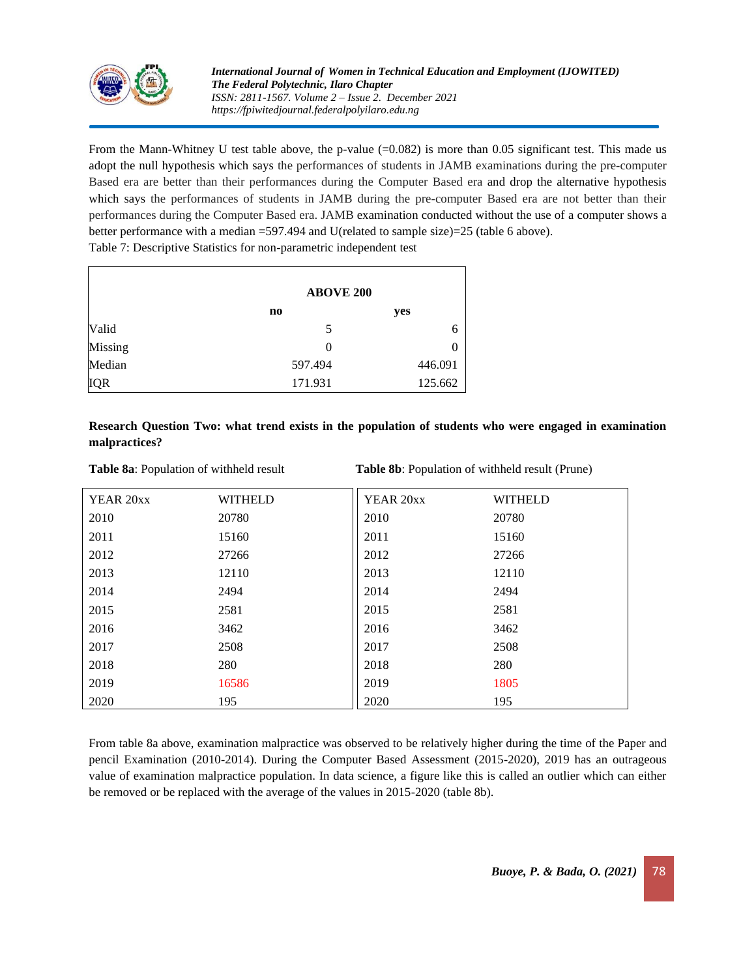

From the Mann-Whitney U test table above, the p-value  $(=0.082)$  is more than 0.05 significant test. This made us adopt the null hypothesis which says the performances of students in JAMB examinations during the pre-computer Based era are better than their performances during the Computer Based era and drop the alternative hypothesis which says the performances of students in JAMB during the pre-computer Based era are not better than their performances during the Computer Based era. JAMB examination conducted without the use of a computer shows a better performance with a median =597.494 and U(related to sample size)=25 (table 6 above).

Table 7: Descriptive Statistics for non-parametric independent test

|            | <b>ABOVE 200</b> |         |  |  |
|------------|------------------|---------|--|--|
|            | no               | yes     |  |  |
| Valid      | 5                | h       |  |  |
| Missing    | $\theta$         |         |  |  |
| Median     | 597.494          | 446.091 |  |  |
| <b>IQR</b> | 171.931          | 125.662 |  |  |

# **Research Question Two: what trend exists in the population of students who were engaged in examination malpractices?**

**Table 8a**: Population of withheld result **Table 8b**: Population of withheld result (Prune)

| YEAR 20xx | <b>WITHELD</b> | YEAR 20xx | <b>WITHELD</b> |
|-----------|----------------|-----------|----------------|
| 2010      | 20780          | 2010      | 20780          |
| 2011      | 15160          | 2011      | 15160          |
| 2012      | 27266          | 2012      | 27266          |
| 2013      | 12110          | 2013      | 12110          |
| 2014      | 2494           | 2014      | 2494           |
| 2015      | 2581           | 2015      | 2581           |
| 2016      | 3462           | 2016      | 3462           |
| 2017      | 2508           | 2017      | 2508           |
| 2018      | 280            | 2018      | 280            |
| 2019      | 16586          | 2019      | 1805           |
| 2020      | 195            | 2020      | 195            |

From table 8a above, examination malpractice was observed to be relatively higher during the time of the Paper and pencil Examination (2010-2014). During the Computer Based Assessment (2015-2020), 2019 has an outrageous value of examination malpractice population. In data science, a figure like this is called an outlier which can either be removed or be replaced with the average of the values in 2015-2020 (table 8b).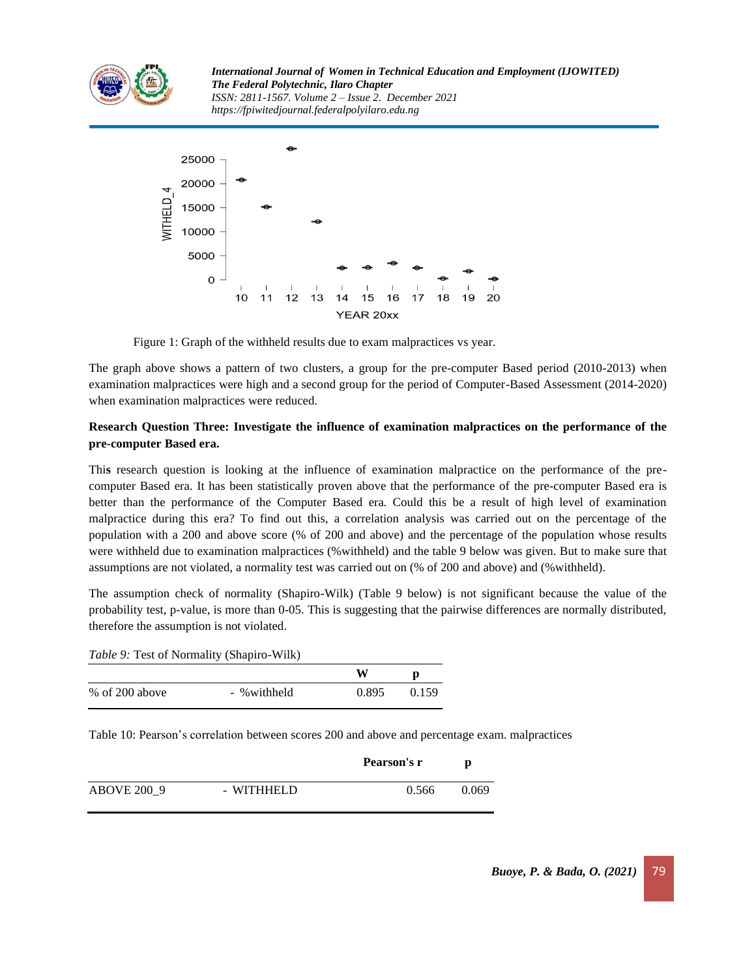

*International Journal of Women in Technical Education and Employment (IJOWITED) The Federal Polytechnic, Ilaro Chapter ISSN: 2811-1567. Volume 2 – Issue 2. December 2021 https://fpiwitedjournal.federalpolyilaro.edu.ng*



Figure 1: Graph of the withheld results due to exam malpractices vs year.

The graph above shows a pattern of two clusters, a group for the pre-computer Based period (2010-2013) when examination malpractices were high and a second group for the period of Computer-Based Assessment (2014-2020) when examination malpractices were reduced.

# **Research Question Three: Investigate the influence of examination malpractices on the performance of the pre-computer Based era.**

Thi**s** research question is looking at the influence of examination malpractice on the performance of the precomputer Based era. It has been statistically proven above that the performance of the pre-computer Based era is better than the performance of the Computer Based era. Could this be a result of high level of examination malpractice during this era? To find out this, a correlation analysis was carried out on the percentage of the population with a 200 and above score (% of 200 and above) and the percentage of the population whose results were withheld due to examination malpractices (%withheld) and the table 9 below was given. But to make sure that assumptions are not violated, a normality test was carried out on (% of 200 and above) and (%withheld).

The assumption check of normality (Shapiro-Wilk) (Table 9 below) is not significant because the value of the probability test, p-value, is more than 0-05. This is suggesting that the pairwise differences are normally distributed, therefore the assumption is not violated.

| <i>Table 9:</i> Test of Normality (Shapiro-Wilk) |             |       |       |  |  |
|--------------------------------------------------|-------------|-------|-------|--|--|
|                                                  |             | w     | D     |  |  |
| $%$ of 200 above                                 | - %withheld | 0.895 | 0.159 |  |  |

Table 10: Pearson's correlation between scores 200 and above and percentage exam. malpractices

|                    |            | Pearson's r | p     |
|--------------------|------------|-------------|-------|
| <b>ABOVE 200 9</b> | - WITHHELD | 0.566       | 0.069 |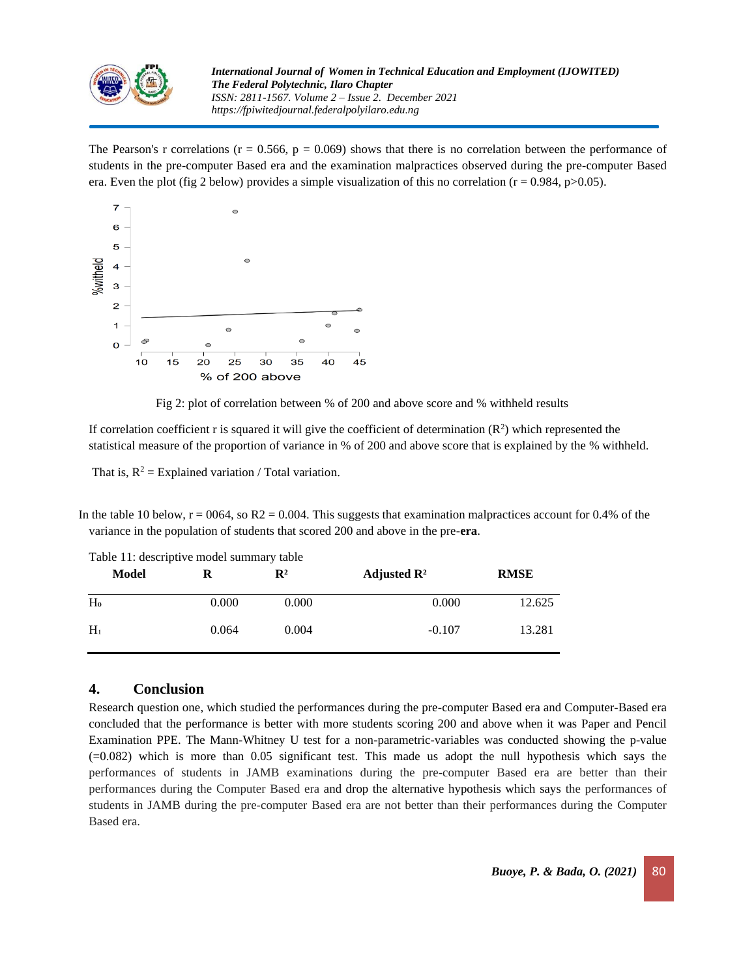

The Pearson's r correlations ( $r = 0.566$ ,  $p = 0.069$ ) shows that there is no correlation between the performance of students in the pre-computer Based era and the examination malpractices observed during the pre-computer Based era. Even the plot (fig 2 below) provides a simple visualization of this no correlation ( $r = 0.984$ , p $> 0.05$ ).



Fig 2: plot of correlation between % of 200 and above score and % withheld results

If correlation coefficient r is squared it will give the coefficient of determination  $(R^2)$  which represented the statistical measure of the proportion of variance in % of 200 and above score that is explained by the % withheld.

That is,  $R^2$  = Explained variation / Total variation.

In the table 10 below,  $r = 0064$ , so  $R2 = 0.004$ . This suggests that examination malpractices account for 0.4% of the variance in the population of students that scored 200 and above in the pre-**era**.

| Model | R     | $\mathbf{R}^2$ | Adjusted $\mathbb{R}^2$ | <b>RMSE</b> |
|-------|-------|----------------|-------------------------|-------------|
| $H_0$ | 0.000 | 0.000          | 0.000                   | 12.625      |
| $H_1$ | 0.064 | 0.004          | $-0.107$                | 13.281      |

Table 11: descriptive model summary table

# **4. Conclusion**

Research question one, which studied the performances during the pre-computer Based era and Computer-Based era concluded that the performance is better with more students scoring 200 and above when it was Paper and Pencil Examination PPE. The Mann-Whitney U test for a non-parametric-variables was conducted showing the p-value (=0.082) which is more than 0.05 significant test. This made us adopt the null hypothesis which says the performances of students in JAMB examinations during the pre-computer Based era are better than their performances during the Computer Based era and drop the alternative hypothesis which says the performances of students in JAMB during the pre-computer Based era are not better than their performances during the Computer Based era.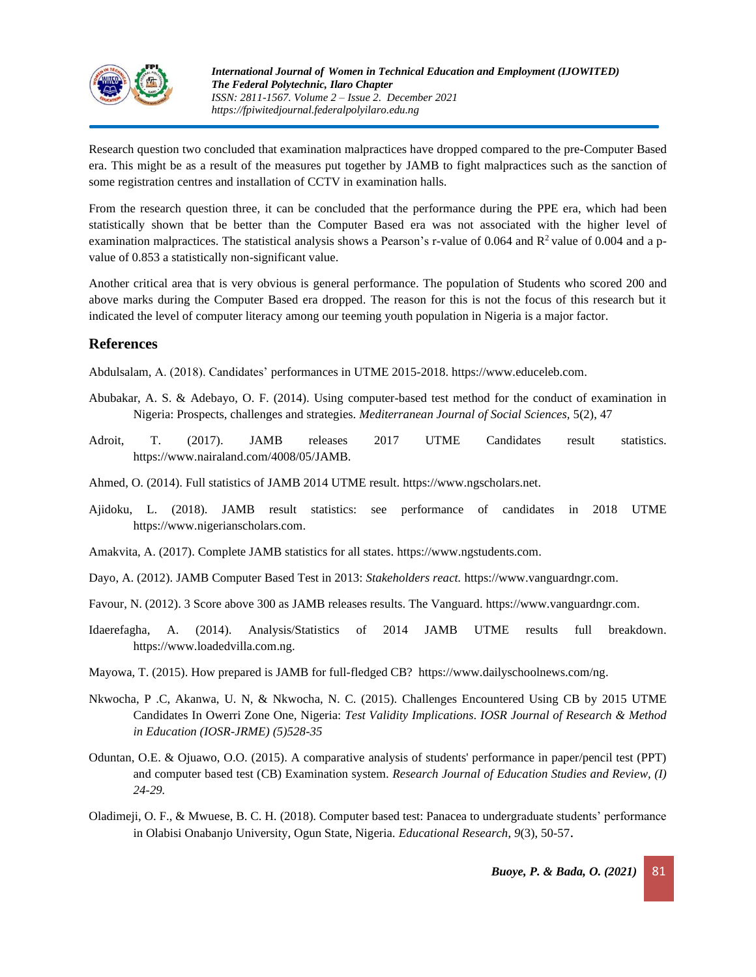

Research question two concluded that examination malpractices have dropped compared to the pre-Computer Based era. This might be as a result of the measures put together by JAMB to fight malpractices such as the sanction of some registration centres and installation of CCTV in examination halls.

From the research question three, it can be concluded that the performance during the PPE era, which had been statistically shown that be better than the Computer Based era was not associated with the higher level of examination malpractices. The statistical analysis shows a Pearson's r-value of 0.064 and  $R^2$  value of 0.004 and a pvalue of 0.853 a statistically non-significant value.

Another critical area that is very obvious is general performance. The population of Students who scored 200 and above marks during the Computer Based era dropped. The reason for this is not the focus of this research but it indicated the level of computer literacy among our teeming youth population in Nigeria is a major factor.

# **References**

Abdulsalam, A. (2018). Candidates' performances in UTME 2015-2018. https:/[/www.educeleb.com.](http://www.educeleb.com/)

- Abubakar, A. S. & Adebayo, O. F. (2014). Using computer-based test method for the conduct of examination in Nigeria: Prospects, challenges and strategies. *Mediterranean Journal of Social Sciences,* 5(2), 47
- Adroit, T. (2017). JAMB releases 2017 UTME Candidates result statistics. https:/[/www.nairaland.com/4008/05/JAMB.](http://www.nairaland.com/4008/05/jamb)
- Ahmed, O. (2014). Full statistics of JAMB 2014 UTME result. https:/[/www.ngscholars.net.](http://www.ngscholars.net/)
- Ajidoku, L. (2018). JAMB result statistics: see performance of candidates in 2018 UTME https:/[/www.nigerianscholars.com.](http://www.nigerianscholars.com/)
- Amakvita, A. (2017). Complete JAMB statistics for all states. https:/[/www.ngstudents.com.](http://www.ngstudents.com/)
- Dayo, A. (2012). JAMB Computer Based Test in 2013: *Stakeholders react.* https:/[/www.vanguardngr.com.](http://www.vanguardngr.com/)
- Favour, N. (2012). 3 Score above 300 as JAMB releases results. The Vanguard. https:/[/www.vanguardngr.com.](http://www.vanguardngr.com/)
- Idaerefagha, A. (2014). Analysis/Statistics of 2014 JAMB UTME results full breakdown. https:/[/www.loadedvilla.com.](http://www.loadedvilla.com/)ng.
- Mayowa, T. (2015). How prepared is JAMB for full-fledged CB? https:/[/www.dailyschoolnews.com/ng.](http://www.dailyschoolnews.com/ng)
- Nkwocha, P .C, Akanwa, U. N, & Nkwocha, N. C. (2015). Challenges Encountered Using CB by 2015 UTME Candidates In Owerri Zone One, Nigeria: *Test Validity Implications*. *IOSR Journal of Research & Method in Education (IOSR-JRME) (5)528-35*
- Oduntan, O.E. & Ojuawo, O.O. (2015). A comparative analysis of students' performance in paper/pencil test (PPT) and computer based test (CB) Examination system. *Research Journal of Education Studies and Review, (I) 24-29.*
- Oladimeji, O. F., & Mwuese, B. C. H. (2018). Computer based test: Panacea to undergraduate students' performance in Olabisi Onabanjo University, Ogun State, Nigeria. *Educational Research*, *9*(3), 50-57.